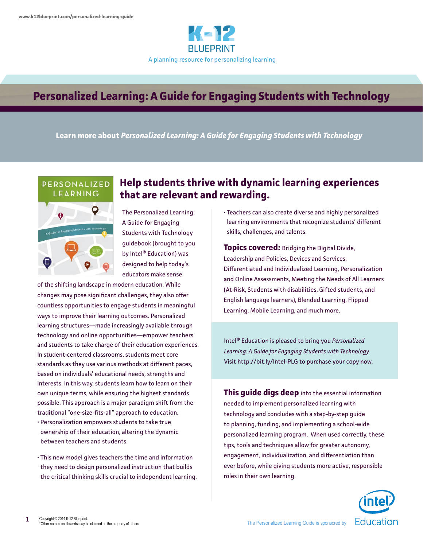

# **Personalized Learning: A Guide for Engaging Students with Technology**

**Learn more about** *Personalized Learning: A Guide for Engaging Students with Technology*



# **Help students thrive with dynamic learning experiences that are relevant and rewarding.**

The Personalized Learning: A Guide for Engaging Students with Technology guidebook (brought to you by Intel® Education) was designed to help today's educators make sense

of the shifting landscape in modern education. While changes may pose significant challenges, they also offer countless opportunities to engage students in meaningful ways to improve their learning outcomes. Personalized learning structures—made increasingly available through technology and online opportunities—empower teachers and students to take charge of their education experiences. In student-centered classrooms, students meet core standards as they use various methods at different paces, based on individuals' educational needs, strengths and interests. In this way, students learn how to learn on their own unique terms, while ensuring the highest standards possible. This approach is a major paradigm shift from the traditional "one-size-fits-all" approach to education.

- Personalization empowers students to take true ownership of their education, altering the dynamic between teachers and students.
- This new model gives teachers the time and information they need to design personalized instruction that builds the critical thinking skills crucial to independent learning.

• Teachers can also create diverse and highly personalized learning environments that recognize students' different skills, challenges, and talents.

**Topics covered:** Bridging the Digital Divide, Leadership and Policies, Devices and Services, Differentiated and Individualized Learning, Personalization and Online Assessments, Meeting the Needs of All Learners (At-Risk, Students with disabilities, Gifted students, and English language learners), Blended Learning, Flipped Learning, Mobile Learning, and much more.

Intel® Education is pleased to bring you *Personalized Learning: A Guide for Engaging Students with Technology.* Visit http://bit.ly/Intel-PLG to purchase your copy now.

**This guide digs deep** into the essential information needed to implement personalized learning with technology and concludes with a step-by-step guide to planning, funding, and implementing a school-wide personalized learning program. When used correctly, these tips, tools and techniques allow for greater autonomy, engagement, individualization, and differentiation than ever before, while giving students more active, responsible roles in their own learning.